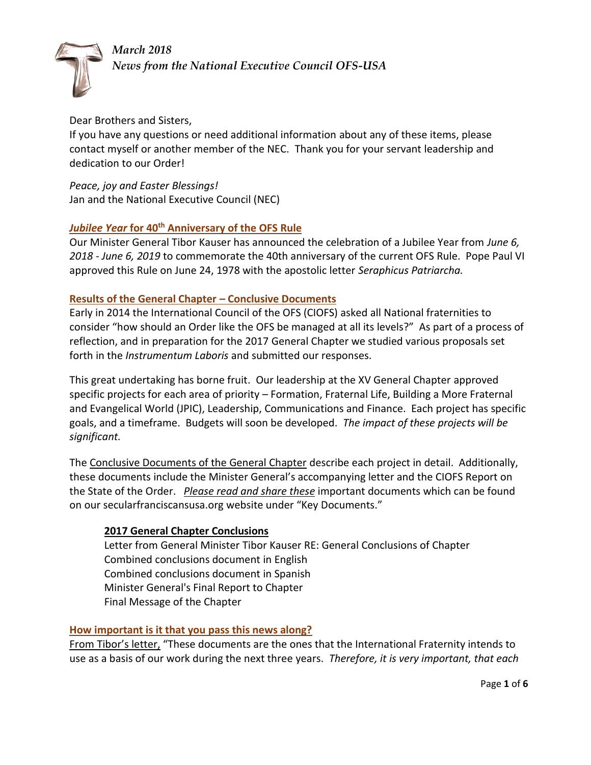*March 2018* 



*News from the National Executive Council OFS-USA*

## Dear Brothers and Sisters,

If you have any questions or need additional information about any of these items, please contact myself or another member of the NEC. Thank you for your servant leadership and dedication to our Order!

*Peace, joy and Easter Blessings!* Jan and the National Executive Council (NEC)

# **Untilledge Theory of the OFS Rule**

Our Minister General Tibor Kauser has announced the celebration of a Jubilee Year from *June 6, 2018 - June 6, 2019* to commemorate the 40th anniversary of the current OFS Rule. Pope Paul VI approved this Rule on June 24, 1978 with the apostolic letter *Seraphicus Patriarcha.* 

## **Results of the General Chapter – Conclusive Documents**

Early in 2014 the International Council of the OFS (CIOFS) asked all National fraternities to consider "how should an Order like the OFS be managed at all its levels?" As part of a process of reflection, and in preparation for the 2017 General Chapter we studied various proposals set forth in the *Instrumentum Laboris* and submitted our responses.

This great undertaking has borne fruit. Our leadership at the XV General Chapter approved specific projects for each area of priority – Formation, Fraternal Life, Building a More Fraternal and Evangelical World (JPIC), Leadership, Communications and Finance. Each project has specific goals, and a timeframe. Budgets will soon be developed. *The impact of these projects will be significant.* 

The Conclusive Documents of the General Chapter describe each project in detail. Additionally, these documents include the Minister General's accompanying letter and the CIOFS Report on the State of the Order. *Please read and share these* important documents which can be found on our secularfranciscansusa.org website under "Key Documents."

# **2017 General Chapter Conclusions**

Letter from General Minister Tibor Kauser RE: General Conclusions of Chapter Combined conclusions document in English Combined conclusions document in Spanish Minister General's Final Report to Chapter Final Message of the Chapter

### **How important is it that you pass this news along?**

From Tibor's letter, "These documents are the ones that the International Fraternity intends to use as a basis of our work during the next three years. *Therefore, it is very important, that each*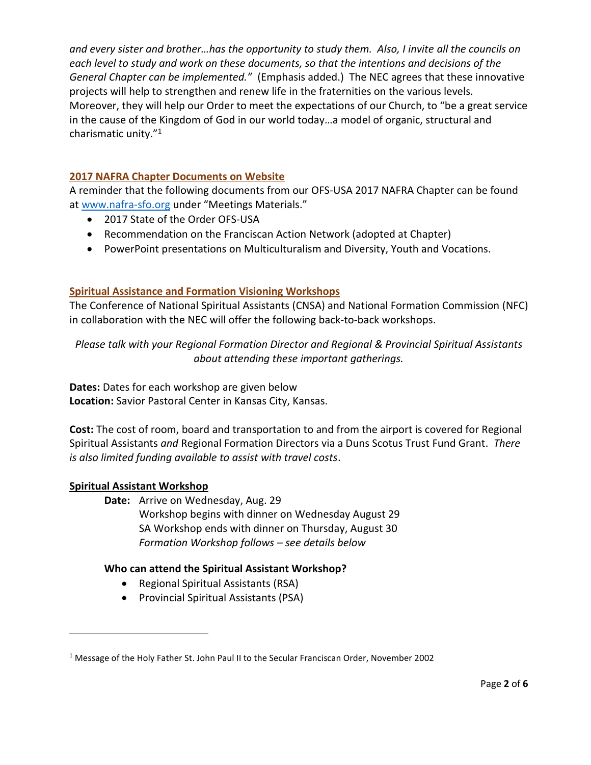and every sister and brother...has the opportunity to study them. Also, I invite all the councils on *each level to study and work on these documents, so that the intentions and decisions of the General Chapter can be implemented."* (Emphasis added.) The NEC agrees that these innovative projects will help to strengthen and renew life in the fraternities on the various levels. Moreover, they will help our Order to meet the expectations of our Church, to "be a great service in the cause of the Kingdom of God in our world today…a model of organic, structural and charismatic unity."<sup>1</sup>

### **2017 NAFRA Chapter Documents on Website**

A reminder that the following documents from our OFS-USA 2017 NAFRA Chapter can be found at [www.nafra-sfo.org](http://www.nafra-sfo.org/) under "Meetings Materials."

- 2017 State of the Order OFS-USA
- Recommendation on the Franciscan Action Network (adopted at Chapter)
- PowerPoint presentations on Multiculturalism and Diversity, Youth and Vocations.

# **Spiritual Assistance and Formation Visioning Workshops**

The Conference of National Spiritual Assistants (CNSA) and National Formation Commission (NFC) in collaboration with the NEC will offer the following back-to-back workshops.

*Please talk with your Regional Formation Director and Regional & Provincial Spiritual Assistants about attending these important gatherings.*

**Dates:** Dates for each workshop are given below **Location:** Savior Pastoral Center in Kansas City, Kansas.

**Cost:** The cost of room, board and transportation to and from the airport is covered for Regional Spiritual Assistants *and* Regional Formation Directors via a Duns Scotus Trust Fund Grant. *There is also limited funding available to assist with travel costs*.

# **Spiritual Assistant Workshop**

 $\overline{\phantom{a}}$ 

**Date:** Arrive on Wednesday, Aug. 29 Workshop begins with dinner on Wednesday August 29 SA Workshop ends with dinner on Thursday, August 30 *Formation Workshop follows – see details below*

# **Who can attend the Spiritual Assistant Workshop?**

- Regional Spiritual Assistants (RSA)
- Provincial Spiritual Assistants (PSA)

<sup>&</sup>lt;sup>1</sup> Message of the Holy Father St. John Paul II to the Secular Franciscan Order, November 2002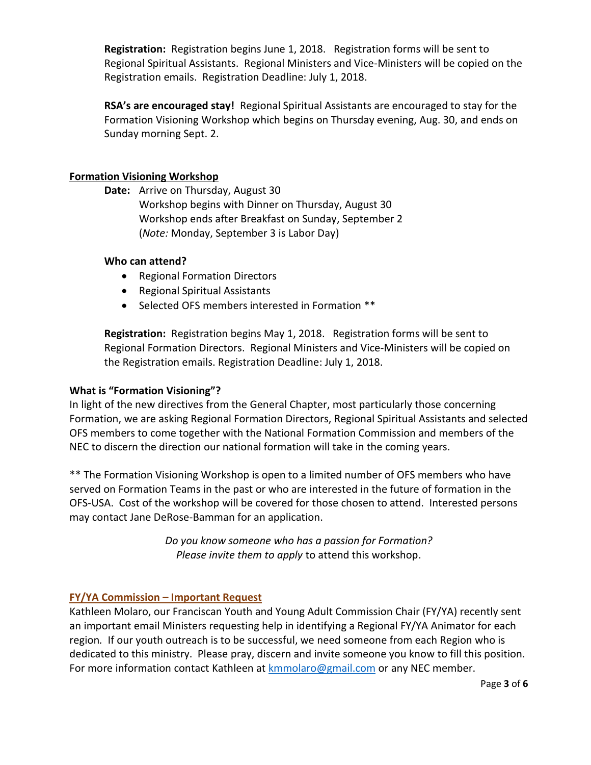**Registration:** Registration begins June 1, 2018. Registration forms will be sent to Regional Spiritual Assistants. Regional Ministers and Vice-Ministers will be copied on the Registration emails. Registration Deadline: July 1, 2018.

**RSA's are encouraged stay!** Regional Spiritual Assistants are encouraged to stay for the Formation Visioning Workshop which begins on Thursday evening, Aug. 30, and ends on Sunday morning Sept. 2.

## **Formation Visioning Workshop**

**Date:** Arrive on Thursday, August 30

Workshop begins with Dinner on Thursday, August 30 Workshop ends after Breakfast on Sunday, September 2 (*Note:* Monday, September 3 is Labor Day)

### **Who can attend?**

- Regional Formation Directors
- Regional Spiritual Assistants
- Selected OFS members interested in Formation \*\*

**Registration:** Registration begins May 1, 2018. Registration forms will be sent to Regional Formation Directors. Regional Ministers and Vice-Ministers will be copied on the Registration emails. Registration Deadline: July 1, 2018.

# **What is "Formation Visioning"?**

In light of the new directives from the General Chapter, most particularly those concerning Formation, we are asking Regional Formation Directors, Regional Spiritual Assistants and selected OFS members to come together with the National Formation Commission and members of the NEC to discern the direction our national formation will take in the coming years.

\*\* The Formation Visioning Workshop is open to a limited number of OFS members who have served on Formation Teams in the past or who are interested in the future of formation in the OFS-USA. Cost of the workshop will be covered for those chosen to attend. Interested persons may contact Jane DeRose-Bamman for an application.

> *Do you know someone who has a passion for Formation? Please invite them to apply* to attend this workshop.

# **FY/YA Commission – Important Request**

Kathleen Molaro, our Franciscan Youth and Young Adult Commission Chair (FY/YA) recently sent an important email Ministers requesting help in identifying a Regional FY/YA Animator for each region*.* If our youth outreach is to be successful, we need someone from each Region who is dedicated to this ministry. Please pray, discern and invite someone you know to fill this position. For more information contact Kathleen at [kmmolaro@gmail.com](mailto:kmmolaro@gmail.com) or any NEC member.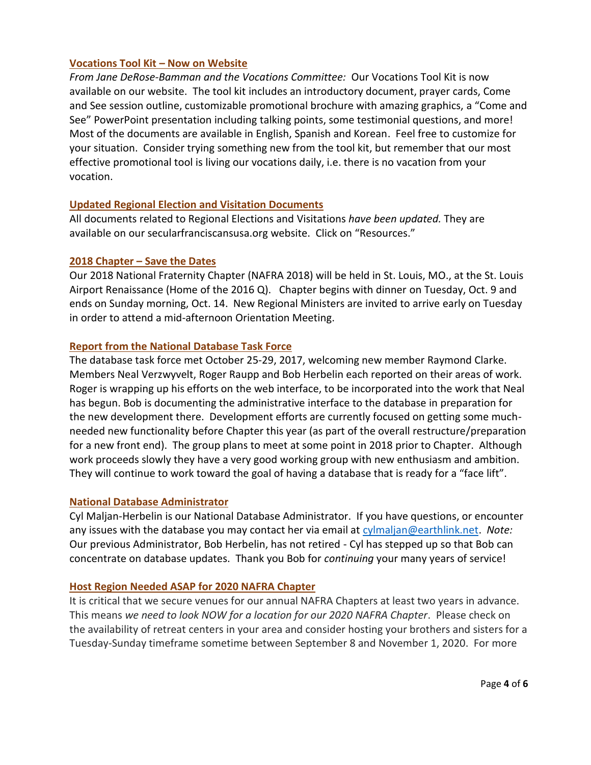### **Vocations Tool Kit – Now on Website**

*From Jane DeRose-Bamman and the Vocations Committee:* Our Vocations Tool Kit is now available on our website. The tool kit includes an introductory document, prayer cards, Come and See session outline, customizable promotional brochure with amazing graphics, a "Come and See" PowerPoint presentation including talking points, some testimonial questions, and more! Most of the documents are available in English, Spanish and Korean. Feel free to customize for your situation. Consider trying something new from the tool kit, but remember that our most effective promotional tool is living our vocations daily, i.e. there is no vacation from your vocation.

## **Updated Regional Election and Visitation Documents**

All documents related to Regional Elections and Visitations *have been updated.* They are available on our secularfranciscansusa.org website. Click on "Resources."

#### **2018 Chapter – Save the Dates**

Our 2018 National Fraternity Chapter (NAFRA 2018) will be held in St. Louis, MO., at the St. Louis Airport Renaissance (Home of the 2016 Q). Chapter begins with dinner on Tuesday, Oct. 9 and ends on Sunday morning, Oct. 14. New Regional Ministers are invited to arrive early on Tuesday in order to attend a mid-afternoon Orientation Meeting.

### **Report from the National Database Task Force**

The database task force met October 25-29, 2017, welcoming new member Raymond Clarke. Members Neal Verzwyvelt, Roger Raupp and Bob Herbelin each reported on their areas of work. Roger is wrapping up his efforts on the web interface, to be incorporated into the work that Neal has begun. Bob is documenting the administrative interface to the database in preparation for the new development there. Development efforts are currently focused on getting some muchneeded new functionality before Chapter this year (as part of the overall restructure/preparation for a new front end). The group plans to meet at some point in 2018 prior to Chapter. Although work proceeds slowly they have a very good working group with new enthusiasm and ambition. They will continue to work toward the goal of having a database that is ready for a "face lift".

### **National Database Administrator**

Cyl Maljan-Herbelin is our National Database Administrator. If you have questions, or encounter any issues with the database you may contact her via email at [cylmaljan@earthlink.net.](mailto:cylmaljan@earthlink.net) *Note:* Our previous Administrator, Bob Herbelin, has not retired - Cyl has stepped up so that Bob can concentrate on database updates. Thank you Bob for *continuing* your many years of service!

### **Host Region Needed ASAP for 2020 NAFRA Chapter**

It is critical that we secure venues for our annual NAFRA Chapters at least two years in advance. This means *we need to look NOW for a location for our 2020 NAFRA Chapter*. Please check on the availability of retreat centers in your area and consider hosting your brothers and sisters for a Tuesday-Sunday timeframe sometime between September 8 and November 1, 2020. For more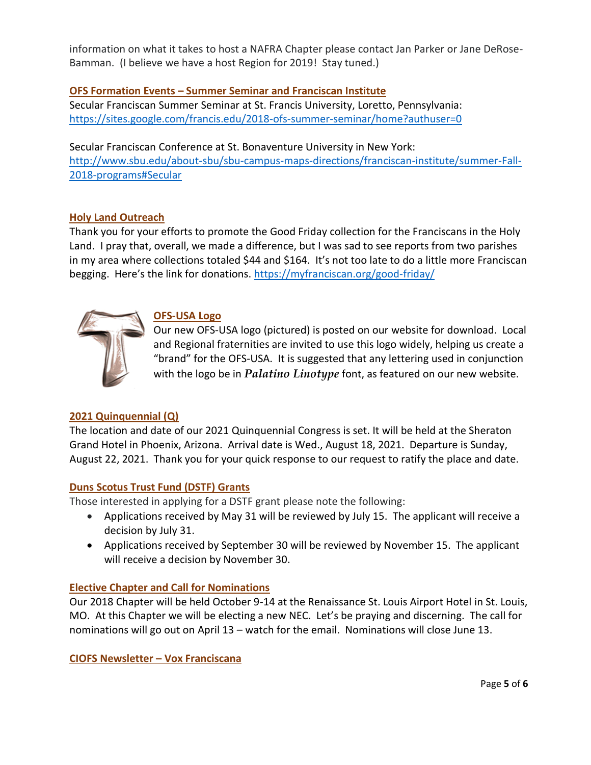information on what it takes to host a NAFRA Chapter please contact Jan Parker or Jane DeRose-Bamman. (I believe we have a host Region for 2019! Stay tuned.)

## **OFS Formation Events – Summer Seminar and Franciscan Institute**

Secular Franciscan Summer Seminar at St. Francis University, Loretto, Pennsylvania: <https://sites.google.com/francis.edu/2018-ofs-summer-seminar/home?authuser=0>

Secular Franciscan Conference at St. Bonaventure University in New York: [http://www.sbu.edu/about-sbu/sbu-campus-maps-directions/franciscan-institute/summer-Fall-](http://www.sbu.edu/about-sbu/sbu-campus-maps-directions/franciscan-institute/summer-Fall-2018-programs#Secular)[2018-programs#Secular](http://www.sbu.edu/about-sbu/sbu-campus-maps-directions/franciscan-institute/summer-Fall-2018-programs#Secular)

### **Holy Land Outreach**

Thank you for your efforts to promote the Good Friday collection for the Franciscans in the Holy Land. I pray that, overall, we made a difference, but I was sad to see reports from two parishes in my area where collections totaled \$44 and \$164. It's not too late to do a little more Franciscan begging. Here's the link for donations. <https://myfranciscan.org/good-friday/>



## **OFS-USA Logo**

Our new OFS-USA logo (pictured) is posted on our website for download. Local and Regional fraternities are invited to use this logo widely, helping us create a "brand" for the OFS-USA. It is suggested that any lettering used in conjunction with the logo be in *Palatino Linotype* font, as featured on our new website.

# **2021 Quinquennial (Q)**

The location and date of our 2021 Quinquennial Congress is set. It will be held at the Sheraton Grand Hotel in Phoenix, Arizona. Arrival date is Wed., August 18, 2021. Departure is Sunday, August 22, 2021. Thank you for your quick response to our request to ratify the place and date.

### **Duns Scotus Trust Fund (DSTF) Grants**

Those interested in applying for a DSTF grant please note the following:

- Applications received by May 31 will be reviewed by July 15. The applicant will receive a decision by July 31.
- Applications received by September 30 will be reviewed by November 15. The applicant will receive a decision by November 30.

# **Elective Chapter and Call for Nominations**

Our 2018 Chapter will be held October 9-14 at the Renaissance St. Louis Airport Hotel in St. Louis, MO. At this Chapter we will be electing a new NEC. Let's be praying and discerning. The call for nominations will go out on April 13 – watch for the email. Nominations will close June 13.

**CIOFS Newsletter – Vox Franciscana**